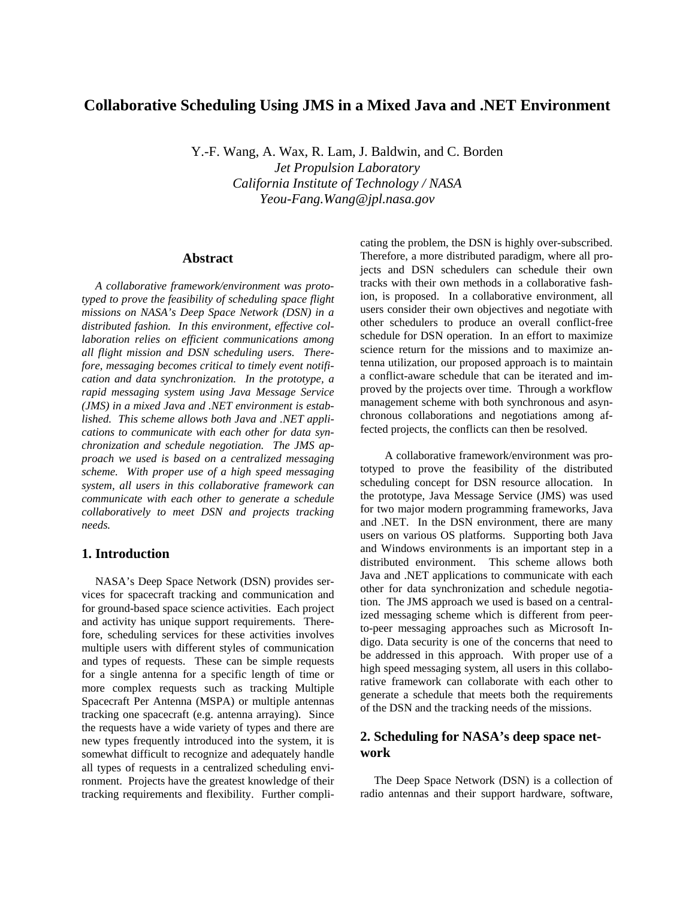# **Collaborative Scheduling Using JMS in a Mixed Java and .NET Environment**

Y.-F. Wang, A. Wax, R. Lam, J. Baldwin, and C. Borden *Jet Propulsion Laboratory California Institute of Technology / NASA* 

*Yeou-Fang.Wang@jpl.nasa.gov* 

#### **Abstract**

*A collaborative framework/environment was prototyped to prove the feasibility of scheduling space flight missions on NASA's Deep Space Network (DSN) in a distributed fashion. In this environment, effective collaboration relies on efficient communications among all flight mission and DSN scheduling users. Therefore, messaging becomes critical to timely event notification and data synchronization. In the prototype, a rapid messaging system using Java Message Service (JMS) in a mixed Java and .NET environment is established. This scheme allows both Java and .NET applications to communicate with each other for data synchronization and schedule negotiation. The JMS approach we used is based on a centralized messaging scheme. With proper use of a high speed messaging system, all users in this collaborative framework can communicate with each other to generate a schedule collaboratively to meet DSN and projects tracking needs.* 

#### **1. Introduction**

NASA's Deep Space Network (DSN) provides services for spacecraft tracking and communication and for ground-based space science activities. Each project and activity has unique support requirements. Therefore, scheduling services for these activities involves multiple users with different styles of communication and types of requests. These can be simple requests for a single antenna for a specific length of time or more complex requests such as tracking Multiple Spacecraft Per Antenna (MSPA) or multiple antennas tracking one spacecraft (e.g. antenna arraying). Since the requests have a wide variety of types and there are new types frequently introduced into the system, it is somewhat difficult to recognize and adequately handle all types of requests in a centralized scheduling environment. Projects have the greatest knowledge of their tracking requirements and flexibility. Further complicating the problem, the DSN is highly over-subscribed. Therefore, a more distributed paradigm, where all projects and DSN schedulers can schedule their own tracks with their own methods in a collaborative fashion, is proposed. In a collaborative environment, all users consider their own objectives and negotiate with other schedulers to produce an overall conflict-free schedule for DSN operation. In an effort to maximize science return for the missions and to maximize antenna utilization, our proposed approach is to maintain a conflict-aware schedule that can be iterated and improved by the projects over time. Through a workflow management scheme with both synchronous and asynchronous collaborations and negotiations among affected projects, the conflicts can then be resolved.

A collaborative framework/environment was prototyped to prove the feasibility of the distributed scheduling concept for DSN resource allocation. In the prototype, Java Message Service (JMS) was used for two major modern programming frameworks, Java and .NET. In the DSN environment, there are many users on various OS platforms. Supporting both Java and Windows environments is an important step in a distributed environment. This scheme allows both Java and .NET applications to communicate with each other for data synchronization and schedule negotiation. The JMS approach we used is based on a centralized messaging scheme which is different from peerto-peer messaging approaches such as Microsoft Indigo. Data security is one of the concerns that need to be addressed in this approach. With proper use of a high speed messaging system, all users in this collaborative framework can collaborate with each other to generate a schedule that meets both the requirements of the DSN and the tracking needs of the missions.

## **2. Scheduling for NASA's deep space network**

The Deep Space Network (DSN) is a collection of radio antennas and their support hardware, software,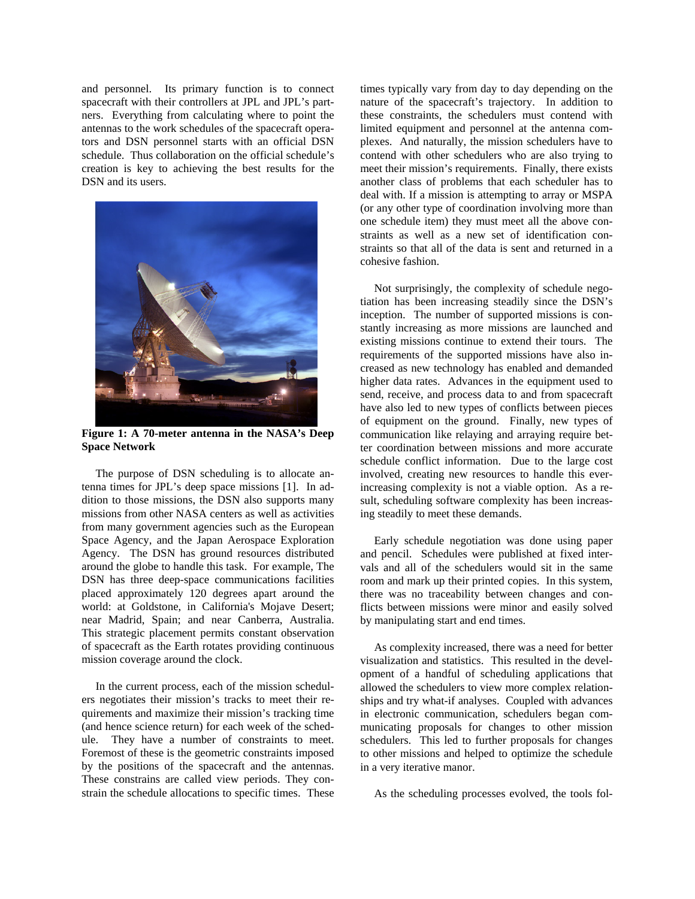and personnel. Its primary function is to connect spacecraft with their controllers at JPL and JPL's partners. Everything from calculating where to point the antennas to the work schedules of the spacecraft operators and DSN personnel starts with an official DSN schedule. Thus collaboration on the official schedule's creation is key to achieving the best results for the DSN and its users.



**Fi[gure 1: A 70-meter antenna in the NASA's De](http://deepspace.jpl.nasa.gov/dsn/images/picture_70_bw_lg.jpg)ep Space Network**

The purpose of DSN scheduling is to allocate antenna times for JPL's deep space missions [1]. In addition to those missions, the DSN also supports many missions from other NASA centers as well as activities from many government agencies such as the European Space Agency, and the Japan Aerospace Exploration Agency. The DSN has ground resources distributed around the globe to handle this task. For example, The DSN has three deep-space communications facilities placed approximately 120 degrees apart around the world: at Goldstone, in California's Mojave Desert; near Madrid, Spain; and near Canberra, Australia. This strategic placement permits constant observation of spacecraft as the Earth rotates providing continuous mission coverage around the clock.

In the current process, each of the mission schedulers negotiates their mission's tracks to meet their requirements and maximize their mission's tracking time (and hence science return) for each week of the schedule. They have a number of constraints to meet. Foremost of these is the geometric constraints imposed by the positions of the spacecraft and the antennas. These constrains are called view periods. They constrain the schedule allocations to specific times. These

times typically vary from day to day depending on the nature of the spacecraft's trajectory. In addition to these constraints, the schedulers must contend with limited equipment and personnel at the antenna complexes. And naturally, the mission schedulers have to contend with other schedulers who are also trying to meet their mission's requirements. Finally, there exists another class of problems that each scheduler has to deal with. If a mission is attempting to array or MSPA (or any other type of coordination involving more than one schedule item) they must meet all the above constraints as well as a new set of identification constraints so that all of the data is sent and returned in a cohesive fashion.

Not surprisingly, the complexity of schedule negotiation has been increasing steadily since the DSN's inception. The number of supported missions is constantly increasing as more missions are launched and existing missions continue to extend their tours. The requirements of the supported missions have also increased as new technology has enabled and demanded higher data rates. Advances in the equipment used to send, receive, and process data to and from spacecraft have also led to new types of conflicts between pieces of equipment on the ground. Finally, new types of communication like relaying and arraying require better coordination between missions and more accurate schedule conflict information. Due to the large cost involved, creating new resources to handle this everincreasing complexity is not a viable option. As a result, scheduling software complexity has been increasing steadily to meet these demands.

Early schedule negotiation was done using paper and pencil. Schedules were published at fixed intervals and all of the schedulers would sit in the same room and mark up their printed copies. In this system, there was no traceability between changes and conflicts between missions were minor and easily solved by manipulating start and end times.

As complexity increased, there was a need for better visualization and statistics. This resulted in the development of a handful of scheduling applications that allowed the schedulers to view more complex relationships and try what-if analyses. Coupled with advances in electronic communication, schedulers began communicating proposals for changes to other mission schedulers. This led to further proposals for changes to other missions and helped to optimize the schedule in a very iterative manor.

As the scheduling processes evolved, the tools fol-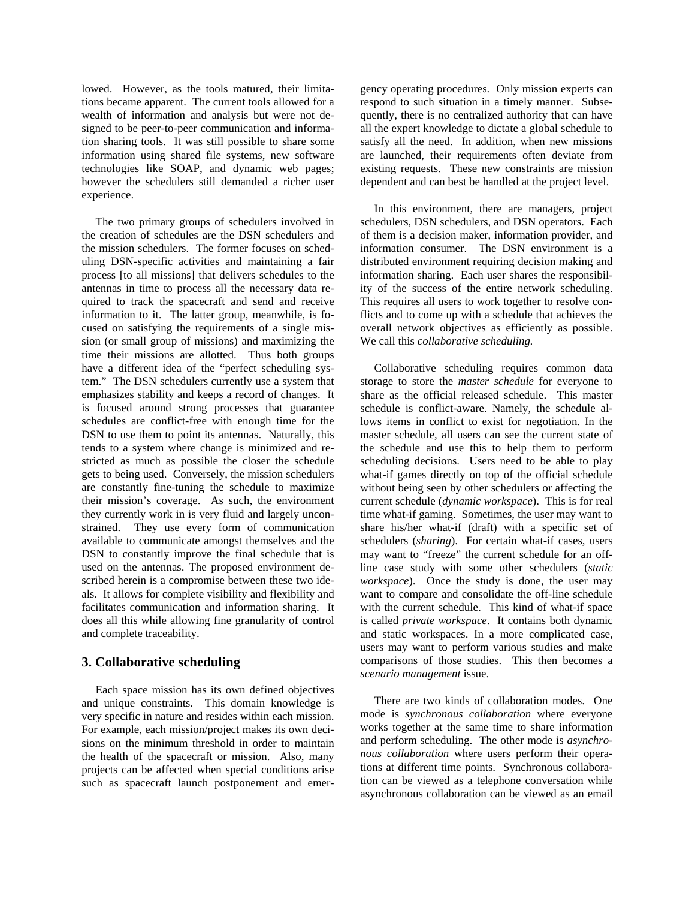lowed. However, as the tools matured, their limitations became apparent. The current tools allowed for a wealth of information and analysis but were not designed to be peer-to-peer communication and information sharing tools. It was still possible to share some information using shared file systems, new software technologies like SOAP, and dynamic web pages; however the schedulers still demanded a richer user experience.

The two primary groups of schedulers involved in the creation of schedules are the DSN schedulers and the mission schedulers. The former focuses on scheduling DSN-specific activities and maintaining a fair process [to all missions] that delivers schedules to the antennas in time to process all the necessary data required to track the spacecraft and send and receive information to it. The latter group, meanwhile, is focused on satisfying the requirements of a single mission (or small group of missions) and maximizing the time their missions are allotted. Thus both groups have a different idea of the "perfect scheduling system." The DSN schedulers currently use a system that emphasizes stability and keeps a record of changes. It is focused around strong processes that guarantee schedules are conflict-free with enough time for the DSN to use them to point its antennas. Naturally, this tends to a system where change is minimized and restricted as much as possible the closer the schedule gets to being used. Conversely, the mission schedulers are constantly fine-tuning the schedule to maximize their mission's coverage. As such, the environment they currently work in is very fluid and largely unconstrained. They use every form of communication available to communicate amongst themselves and the DSN to constantly improve the final schedule that is used on the antennas. The proposed environment described herein is a compromise between these two ideals. It allows for complete visibility and flexibility and facilitates communication and information sharing. It does all this while allowing fine granularity of control and complete traceability.

### **3. Collaborative scheduling**

Each space mission has its own defined objectives and unique constraints. This domain knowledge is very specific in nature and resides within each mission. For example, each mission/project makes its own decisions on the minimum threshold in order to maintain the health of the spacecraft or mission. Also, many projects can be affected when special conditions arise such as spacecraft launch postponement and emergency operating procedures. Only mission experts can respond to such situation in a timely manner. Subsequently, there is no centralized authority that can have all the expert knowledge to dictate a global schedule to satisfy all the need. In addition, when new missions are launched, their requirements often deviate from existing requests. These new constraints are mission dependent and can best be handled at the project level.

In this environment, there are managers, project schedulers, DSN schedulers, and DSN operators. Each of them is a decision maker, information provider, and information consumer. The DSN environment is a distributed environment requiring decision making and information sharing. Each user shares the responsibility of the success of the entire network scheduling. This requires all users to work together to resolve conflicts and to come up with a schedule that achieves the overall network objectives as efficiently as possible. We call this *collaborative scheduling.*

Collaborative scheduling requires common data storage to store the *master schedule* for everyone to share as the official released schedule. This master schedule is conflict-aware. Namely, the schedule allows items in conflict to exist for negotiation. In the master schedule, all users can see the current state of the schedule and use this to help them to perform scheduling decisions. Users need to be able to play what-if games directly on top of the official schedule without being seen by other schedulers or affecting the current schedule (*dynamic workspace*). This is for real time what-if gaming. Sometimes, the user may want to share his/her what-if (draft) with a specific set of schedulers (*sharing*). For certain what-if cases, users may want to "freeze" the current schedule for an offline case study with some other schedulers (*static workspace*). Once the study is done, the user may want to compare and consolidate the off-line schedule with the current schedule. This kind of what-if space is called *private workspace*. It contains both dynamic and static workspaces. In a more complicated case, users may want to perform various studies and make comparisons of those studies. This then becomes a *scenario management* issue.

There are two kinds of collaboration modes. One mode is *synchronous collaboration* where everyone works together at the same time to share information and perform scheduling. The other mode is *asynchronous collaboration* where users perform their operations at different time points. Synchronous collaboration can be viewed as a telephone conversation while asynchronous collaboration can be viewed as an email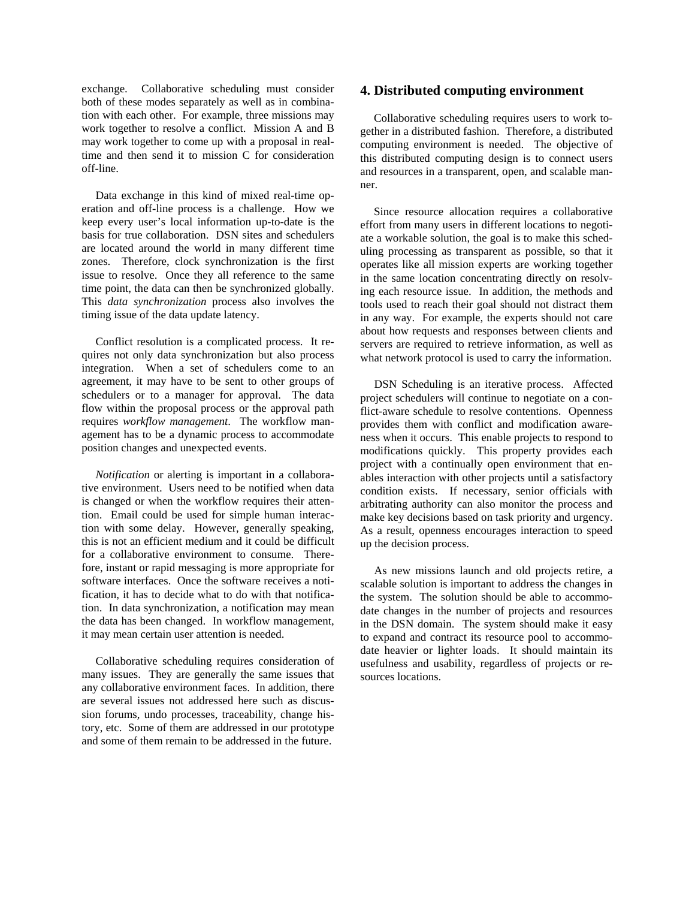exchange. Collaborative scheduling must consider both of these modes separately as well as in combination with each other. For example, three missions may work together to resolve a conflict. Mission A and B may work together to come up with a proposal in realtime and then send it to mission C for consideration off-line.

Data exchange in this kind of mixed real-time operation and off-line process is a challenge. How we keep every user's local information up-to-date is the basis for true collaboration. DSN sites and schedulers are located around the world in many different time zones. Therefore, clock synchronization is the first issue to resolve. Once they all reference to the same time point, the data can then be synchronized globally. This *data synchronization* process also involves the timing issue of the data update latency.

Conflict resolution is a complicated process. It requires not only data synchronization but also process integration. When a set of schedulers come to an agreement, it may have to be sent to other groups of schedulers or to a manager for approval. The data flow within the proposal process or the approval path requires *workflow management*. The workflow management has to be a dynamic process to accommodate position changes and unexpected events.

*Notification* or alerting is important in a collaborative environment. Users need to be notified when data is changed or when the workflow requires their attention. Email could be used for simple human interaction with some delay. However, generally speaking, this is not an efficient medium and it could be difficult for a collaborative environment to consume. Therefore, instant or rapid messaging is more appropriate for software interfaces. Once the software receives a notification, it has to decide what to do with that notification. In data synchronization, a notification may mean the data has been changed. In workflow management, it may mean certain user attention is needed.

Collaborative scheduling requires consideration of many issues. They are generally the same issues that any collaborative environment faces. In addition, there are several issues not addressed here such as discussion forums, undo processes, traceability, change history, etc. Some of them are addressed in our prototype and some of them remain to be addressed in the future.

### **4. Distributed computing environment**

Collaborative scheduling requires users to work together in a distributed fashion. Therefore, a distributed computing environment is needed. The objective of this distributed computing design is to connect users and resources in a transparent, open, and scalable manner.

Since resource allocation requires a collaborative effort from many users in different locations to negotiate a workable solution, the goal is to make this scheduling processing as transparent as possible, so that it operates like all mission experts are working together in the same location concentrating directly on resolving each resource issue. In addition, the methods and tools used to reach their goal should not distract them in any way. For example, the experts should not care about how requests and responses between clients and servers are required to retrieve information, as well as what network protocol is used to carry the information.

DSN Scheduling is an iterative process. Affected project schedulers will continue to negotiate on a conflict-aware schedule to resolve contentions. Openness provides them with conflict and modification awareness when it occurs. This enable projects to respond to modifications quickly. This property provides each project with a continually open environment that enables interaction with other projects until a satisfactory condition exists. If necessary, senior officials with arbitrating authority can also monitor the process and make key decisions based on task priority and urgency. As a result, openness encourages interaction to speed up the decision process.

As new missions launch and old projects retire, a scalable solution is important to address the changes in the system. The solution should be able to accommodate changes in the number of projects and resources in the DSN domain. The system should make it easy to expand and contract its resource pool to accommodate heavier or lighter loads. It should maintain its usefulness and usability, regardless of projects or resources locations.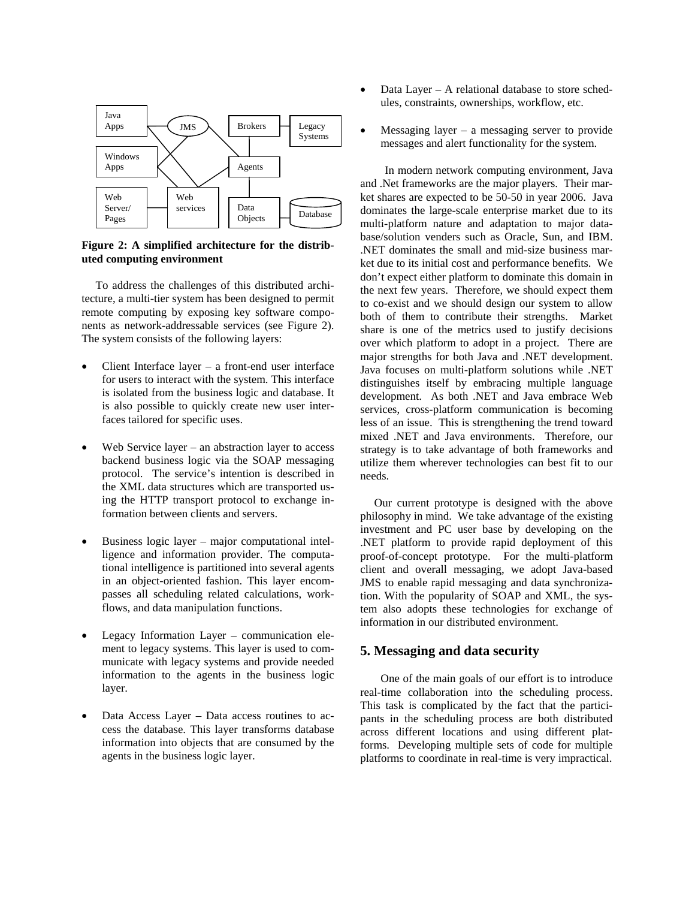

**Figure 2: A simplified architecture for the distributed computing environment** 

To address the challenges of this distributed architecture, a multi-tier system has been designed to permit remote computing by exposing key software components as network-addressable services (see Figure 2). The system consists of the following layers:

- Client Interface layer  $-$  a front-end user interface for users to interact with the system. This interface is isolated from the business logic and database. It is also possible to quickly create new user interfaces tailored for specific uses.
- Web Service layer an abstraction layer to access backend business logic via the SOAP messaging protocol. The service's intention is described in the XML data structures which are transported using the HTTP transport protocol to exchange information between clients and servers.
- Business logic layer major computational intelligence and information provider. The computational intelligence is partitioned into several agents in an object-oriented fashion. This layer encompasses all scheduling related calculations, workflows, and data manipulation functions.
- Legacy Information Layer communication element to legacy systems. This layer is used to communicate with legacy systems and provide needed information to the agents in the business logic layer.
- Data Access Layer Data access routines to access the database. This layer transforms database information into objects that are consumed by the agents in the business logic layer.
- Data Layer A relational database to store schedules, constraints, ownerships, workflow, etc.
- Messaging layer a messaging server to provide messages and alert functionality for the system.

In modern network computing environment, Java and .Net frameworks are the major players. Their market shares are expected to be 50-50 in year 2006. Java dominates the large-scale enterprise market due to its multi-platform nature and adaptation to major database/solution venders such as Oracle, Sun, and IBM. .NET dominates the small and mid-size business market due to its initial cost and performance benefits. We don't expect either platform to dominate this domain in the next few years. Therefore, we should expect them to co-exist and we should design our system to allow both of them to contribute their strengths. Market share is one of the metrics used to justify decisions over which platform to adopt in a project. There are major strengths for both Java and .NET development. Java focuses on multi-platform solutions while .NET distinguishes itself by embracing multiple language development. As both .NET and Java embrace Web services, cross-platform communication is becoming less of an issue. This is strengthening the trend toward mixed .NET and Java environments. Therefore, our strategy is to take advantage of both frameworks and utilize them wherever technologies can best fit to our needs.

Our current prototype is designed with the above philosophy in mind. We take advantage of the existing investment and PC user base by developing on the .NET platform to provide rapid deployment of this proof-of-concept prototype. For the multi-platform client and overall messaging, we adopt Java-based JMS to enable rapid messaging and data synchronization. With the popularity of SOAP and XML, the system also adopts these technologies for exchange of information in our distributed environment.

### **5. Messaging and data security**

One of the main goals of our effort is to introduce real-time collaboration into the scheduling process. This task is complicated by the fact that the participants in the scheduling process are both distributed across different locations and using different platforms. Developing multiple sets of code for multiple platforms to coordinate in real-time is very impractical.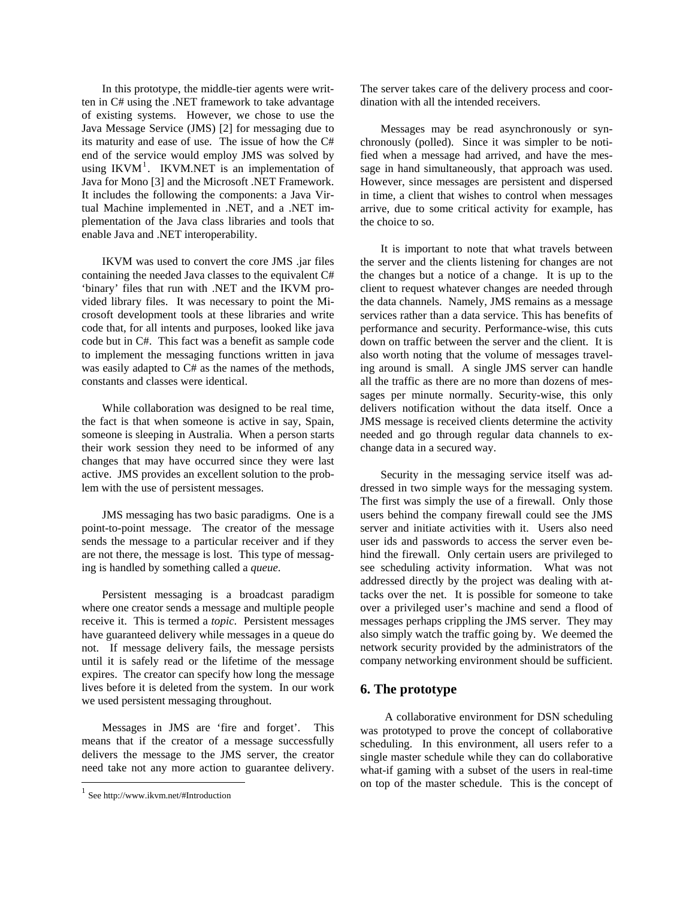In this prototype, the middle-tier agents were written in C# using the .NET framework to take advantage of existing systems. However, we chose to use the Java Message Service (JMS) [2] for messaging due to its maturity and ease of use. The issue of how the C# end of the service would employ JMS was solved by using  $IKVM<sup>1</sup>$  $IKVM<sup>1</sup>$  $IKVM<sup>1</sup>$ . IKVM.NET is an implementation of Java for Mono [3] and the Microsoft .NET Framework. It includes the following the components: a Java Virtual Machine implemented in .NET, and a .NET implementation of the Java class libraries and tools that enable Java and .NET interoperability.

IKVM was used to convert the core JMS .jar files containing the needed Java classes to the equivalent C# 'binary' files that run with .NET and the IKVM provided library files. It was necessary to point the Microsoft development tools at these libraries and write code that, for all intents and purposes, looked like java code but in C#. This fact was a benefit as sample code to implement the messaging functions written in java was easily adapted to C# as the names of the methods, constants and classes were identical.

While collaboration was designed to be real time, the fact is that when someone is active in say, Spain, someone is sleeping in Australia. When a person starts their work session they need to be informed of any changes that may have occurred since they were last active. JMS provides an excellent solution to the problem with the use of persistent messages.

JMS messaging has two basic paradigms. One is a point-to-point message. The creator of the message sends the message to a particular receiver and if they are not there, the message is lost. This type of messaging is handled by something called a *queue*.

Persistent messaging is a broadcast paradigm where one creator sends a message and multiple people receive it. This is termed a *topic*. Persistent messages have guaranteed delivery while messages in a queue do not. If message delivery fails, the message persists until it is safely read or the lifetime of the message expires. The creator can specify how long the message lives before it is deleted from the system. In our work we used persistent messaging throughout.

Messages in JMS are 'fire and forget'. This means that if the creator of a message successfully delivers the message to the JMS server, the creator need take not any more action to guarantee delivery.

 $\overline{\phantom{a}}$ 

The server takes care of the delivery process and coordination with all the intended receivers.

Messages may be read asynchronously or synchronously (polled). Since it was simpler to be notified when a message had arrived, and have the message in hand simultaneously, that approach was used. However, since messages are persistent and dispersed in time, a client that wishes to control when messages arrive, due to some critical activity for example, has the choice to so.

It is important to note that what travels between the server and the clients listening for changes are not the changes but a notice of a change. It is up to the client to request whatever changes are needed through the data channels. Namely, JMS remains as a message services rather than a data service. This has benefits of performance and security. Performance-wise, this cuts down on traffic between the server and the client. It is also worth noting that the volume of messages traveling around is small. A single JMS server can handle all the traffic as there are no more than dozens of messages per minute normally. Security-wise, this only delivers notification without the data itself. Once a JMS message is received clients determine the activity needed and go through regular data channels to exchange data in a secured way.

Security in the messaging service itself was addressed in two simple ways for the messaging system. The first was simply the use of a firewall. Only those users behind the company firewall could see the JMS server and initiate activities with it. Users also need user ids and passwords to access the server even behind the firewall. Only certain users are privileged to see scheduling activity information. What was not addressed directly by the project was dealing with attacks over the net. It is possible for someone to take over a privileged user's machine and send a flood of messages perhaps crippling the JMS server. They may also simply watch the traffic going by. We deemed the network security provided by the administrators of the company networking environment should be sufficient.

#### **6. The prototype**

A collaborative environment for DSN scheduling was prototyped to prove the concept of collaborative scheduling. In this environment, all users refer to a single master schedule while they can do collaborative what-if gaming with a subset of the users in real-time on top of the master schedule. This is the concept of

<span id="page-5-0"></span><sup>1</sup> See http://www.ikvm.net/#Introduction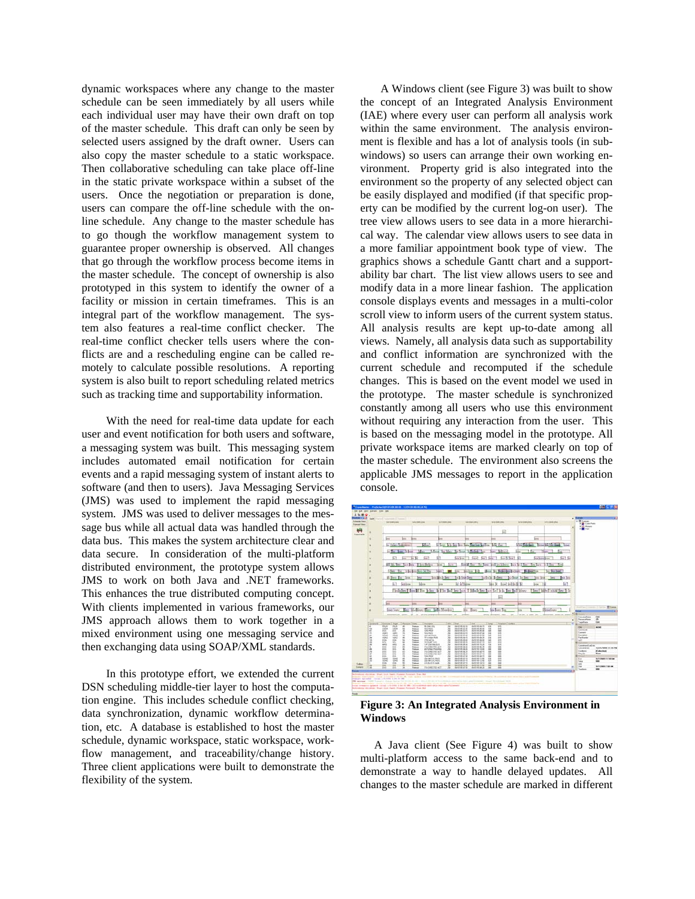dynamic workspaces where any change to the master schedule can be seen immediately by all users while each individual user may have their own draft on top of the master schedule. This draft can only be seen by selected users assigned by the draft owner. Users can also copy the master schedule to a static workspace. Then collaborative scheduling can take place off-line in the static private workspace within a subset of the users. Once the negotiation or preparation is done, users can compare the off-line schedule with the online schedule. Any change to the master schedule has to go though the workflow management system to guarantee proper ownership is observed. All changes that go through the workflow process become items in the master schedule. The concept of ownership is also prototyped in this system to identify the owner of a facility or mission in certain timeframes. This is an integral part of the workflow management. The system also features a real-time conflict checker. The real-time conflict checker tells users where the conflicts are and a rescheduling engine can be called remotely to calculate possible resolutions. A reporting system is also built to report scheduling related metrics such as tracking time and supportability information.

With the need for real-time data update for each user and event notification for both users and software, a messaging system was built. This messaging system includes automated email notification for certain events and a rapid messaging system of instant alerts to software (and then to users). Java Messaging Services (JMS) was used to implement the rapid messaging system. JMS was used to deliver messages to the message bus while all actual data was handled through the data bus. This makes the system architecture clear and data secure. In consideration of the multi-platform distributed environment, the prototype system allows JMS to work on both Java and .NET frameworks. This enhances the true distributed computing concept. With clients implemented in various frameworks, our JMS approach allows them to work together in a mixed environment using one messaging service and then exchanging data using SOAP/XML standards.

In this prototype effort, we extended the current DSN scheduling middle-tier layer to host the computation engine. This includes schedule conflict checking, data synchronization, dynamic workflow determination, etc. A database is established to host the master schedule, dynamic workspace, static workspace, workflow management, and traceability/change history. Three client applications were built to demonstrate the flexibility of the system.

A Windows client (see Figure 3) was built to show the concept of an Integrated Analysis Environment (IAE) where every user can perform all analysis work within the same environment. The analysis environment is flexible and has a lot of analysis tools (in subwindows) so users can arrange their own working environment. Property grid is also integrated into the environment so the property of any selected object can be easily displayed and modified (if that specific property can be modified by the current log-on user). The tree view allows users to see data in a more hierarchical way. The calendar view allows users to see data in a more familiar appointment book type of view. The graphics shows a schedule Gantt chart and a supportability bar chart. The list view allows users to see and modify data in a more linear fashion. The application console displays events and messages in a multi-color scroll view to inform users of the current system status. All analysis results are kept up-to-date among all views. Namely, all analysis data such as supportability and conflict information are synchronized with the current schedule and recomputed if the schedule changes. This is based on the event model we used in the prototype. The master schedule is synchronized constantly among all users who use this environment without requiring any interaction from the user. This is based on the messaging model in the prototype. All private workspace items are marked clearly on top of the master schedule. The environment also screens the applicable JMS messages to report in the application console.



**Figure 3: An Integrated Analysis Environment in Windows**

A Java client (See Figure 4) was built to show multi-platform access to the same back-end and to demonstrate a way to handle delayed updates. All changes to the master schedule are marked in different